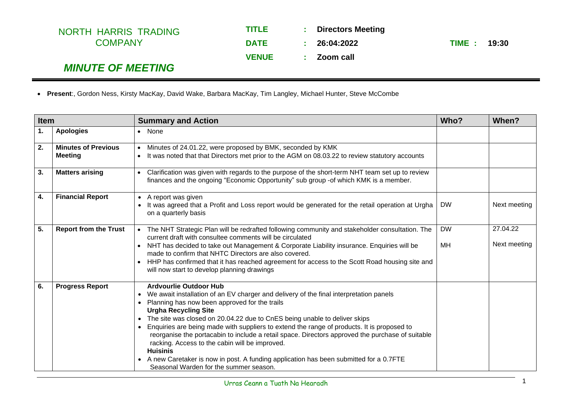| NORTH HARRIS TRADING     | <b>TITLE</b> | <b>STATE</b>    | <b>Directors Meeting</b> |              |  |
|--------------------------|--------------|-----------------|--------------------------|--------------|--|
| <b>COMPANY</b>           | <b>DATE</b>  | $\sim$ 10 $\pm$ | 26:04:2022               | TIME : 19:30 |  |
|                          | <b>VENUE</b> |                 | : Zoom call              |              |  |
| <b>MINUTE OF MEETING</b> |              |                 |                          |              |  |

• **Present**:, Gordon Ness, Kirsty MacKay, David Wake, Barbara MacKay, Tim Langley, Michael Hunter, Steve McCombe

| <b>Item</b> |                                              | <b>Summary and Action</b>                                                                                                                                                                                                                                                                                                                                                                                                                                                                                                                                                                                                                                                                                                |                 | When?                    |
|-------------|----------------------------------------------|--------------------------------------------------------------------------------------------------------------------------------------------------------------------------------------------------------------------------------------------------------------------------------------------------------------------------------------------------------------------------------------------------------------------------------------------------------------------------------------------------------------------------------------------------------------------------------------------------------------------------------------------------------------------------------------------------------------------------|-----------------|--------------------------|
| 1.          | <b>Apologies</b>                             | • None                                                                                                                                                                                                                                                                                                                                                                                                                                                                                                                                                                                                                                                                                                                   |                 |                          |
| 2.          | <b>Minutes of Previous</b><br><b>Meeting</b> | Minutes of 24.01.22, were proposed by BMK, seconded by KMK<br>It was noted that that Directors met prior to the AGM on 08.03.22 to review statutory accounts<br>$\bullet$                                                                                                                                                                                                                                                                                                                                                                                                                                                                                                                                                |                 |                          |
| 3.          | <b>Matters arising</b>                       | Clarification was given with regards to the purpose of the short-term NHT team set up to review<br>finances and the ongoing "Economic Opportunity" sub group -of which KMK is a member.                                                                                                                                                                                                                                                                                                                                                                                                                                                                                                                                  |                 |                          |
| 4.          | <b>Financial Report</b>                      | A report was given<br>It was agreed that a Profit and Loss report would be generated for the retail operation at Urgha<br>on a quarterly basis                                                                                                                                                                                                                                                                                                                                                                                                                                                                                                                                                                           | <b>DW</b>       | Next meeting             |
| 5.          | <b>Report from the Trust</b>                 | The NHT Strategic Plan will be redrafted following community and stakeholder consultation. The<br>current draft with consultee comments will be circulated<br>• NHT has decided to take out Management & Corporate Liability insurance. Enquiries will be<br>made to confirm that NHTC Directors are also covered.<br>HHP has confirmed that it has reached agreement for access to the Scott Road housing site and<br>will now start to develop planning drawings                                                                                                                                                                                                                                                       | <b>DW</b><br>MН | 27.04.22<br>Next meeting |
| 6.          | <b>Progress Report</b>                       | <b>Ardvourlie Outdoor Hub</b><br>We await installation of an EV charger and delivery of the final interpretation panels<br>$\bullet$<br>Planning has now been approved for the trails<br><b>Urgha Recycling Site</b><br>The site was closed on 20.04.22 due to CnES being unable to deliver skips<br>$\bullet$<br>Enquiries are being made with suppliers to extend the range of products. It is proposed to<br>reorganise the portacabin to include a retail space. Directors approved the purchase of suitable<br>racking. Access to the cabin will be improved.<br><b>Huisinis</b><br>A new Caretaker is now in post. A funding application has been submitted for a 0.7FTE<br>Seasonal Warden for the summer season. |                 |                          |